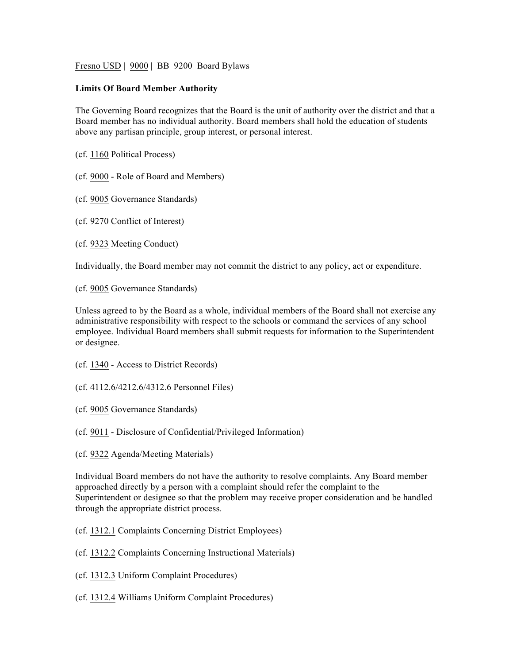Fresno USD | 9000 | BB 9200 Board Bylaws

## **Limits Of Board Member Authority**

The Governing Board recognizes that the Board is the unit of authority over the district and that a Board member has no individual authority. Board members shall hold the education of students above any partisan principle, group interest, or personal interest.

(cf. 1160 Political Process)

(cf. 9000 - Role of Board and Members)

- (cf. 9005 Governance Standards)
- (cf. 9270 Conflict of Interest)
- (cf. 9323 Meeting Conduct)

Individually, the Board member may not commit the district to any policy, act or expenditure.

(cf. 9005 Governance Standards)

Unless agreed to by the Board as a whole, individual members of the Board shall not exercise any administrative responsibility with respect to the schools or command the services of any school employee. Individual Board members shall submit requests for information to the Superintendent or designee.

- (cf. 1340 Access to District Records)
- (cf. 4112.6/4212.6/4312.6 Personnel Files)
- (cf. 9005 Governance Standards)
- (cf. 9011 Disclosure of Confidential/Privileged Information)
- (cf. 9322 Agenda/Meeting Materials)

Individual Board members do not have the authority to resolve complaints. Any Board member approached directly by a person with a complaint should refer the complaint to the Superintendent or designee so that the problem may receive proper consideration and be handled through the appropriate district process.

- (cf. 1312.1 Complaints Concerning District Employees)
- (cf. 1312.2 Complaints Concerning Instructional Materials)
- (cf. 1312.3 Uniform Complaint Procedures)
- (cf. 1312.4 Williams Uniform Complaint Procedures)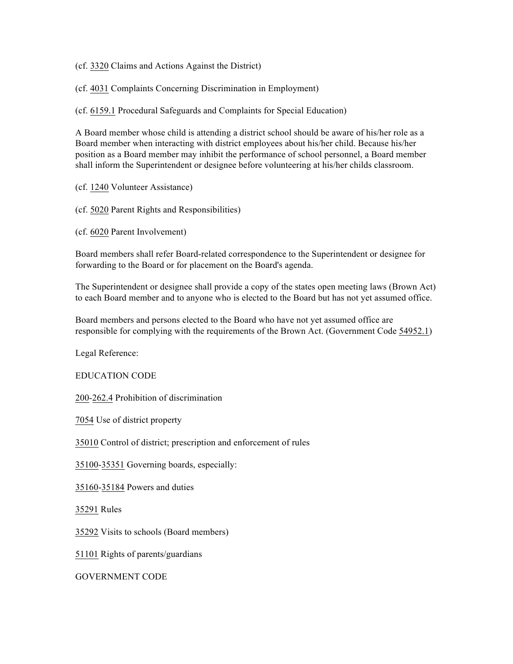(cf. 3320 Claims and Actions Against the District)

(cf. 4031 Complaints Concerning Discrimination in Employment)

(cf. 6159.1 Procedural Safeguards and Complaints for Special Education)

A Board member whose child is attending a district school should be aware of his/her role as a Board member when interacting with district employees about his/her child. Because his/her position as a Board member may inhibit the performance of school personnel, a Board member shall inform the Superintendent or designee before volunteering at his/her childs classroom.

(cf. 1240 Volunteer Assistance)

(cf. 5020 Parent Rights and Responsibilities)

(cf. 6020 Parent Involvement)

Board members shall refer Board-related correspondence to the Superintendent or designee for forwarding to the Board or for placement on the Board's agenda.

The Superintendent or designee shall provide a copy of the states open meeting laws (Brown Act) to each Board member and to anyone who is elected to the Board but has not yet assumed office.

Board members and persons elected to the Board who have not yet assumed office are responsible for complying with the requirements of the Brown Act. (Government Code 54952.1)

Legal Reference:

EDUCATION CODE

200-262.4 Prohibition of discrimination

7054 Use of district property

35010 Control of district; prescription and enforcement of rules

35100-35351 Governing boards, especially:

35160-35184 Powers and duties

35291 Rules

35292 Visits to schools (Board members)

51101 Rights of parents/guardians

GOVERNMENT CODE